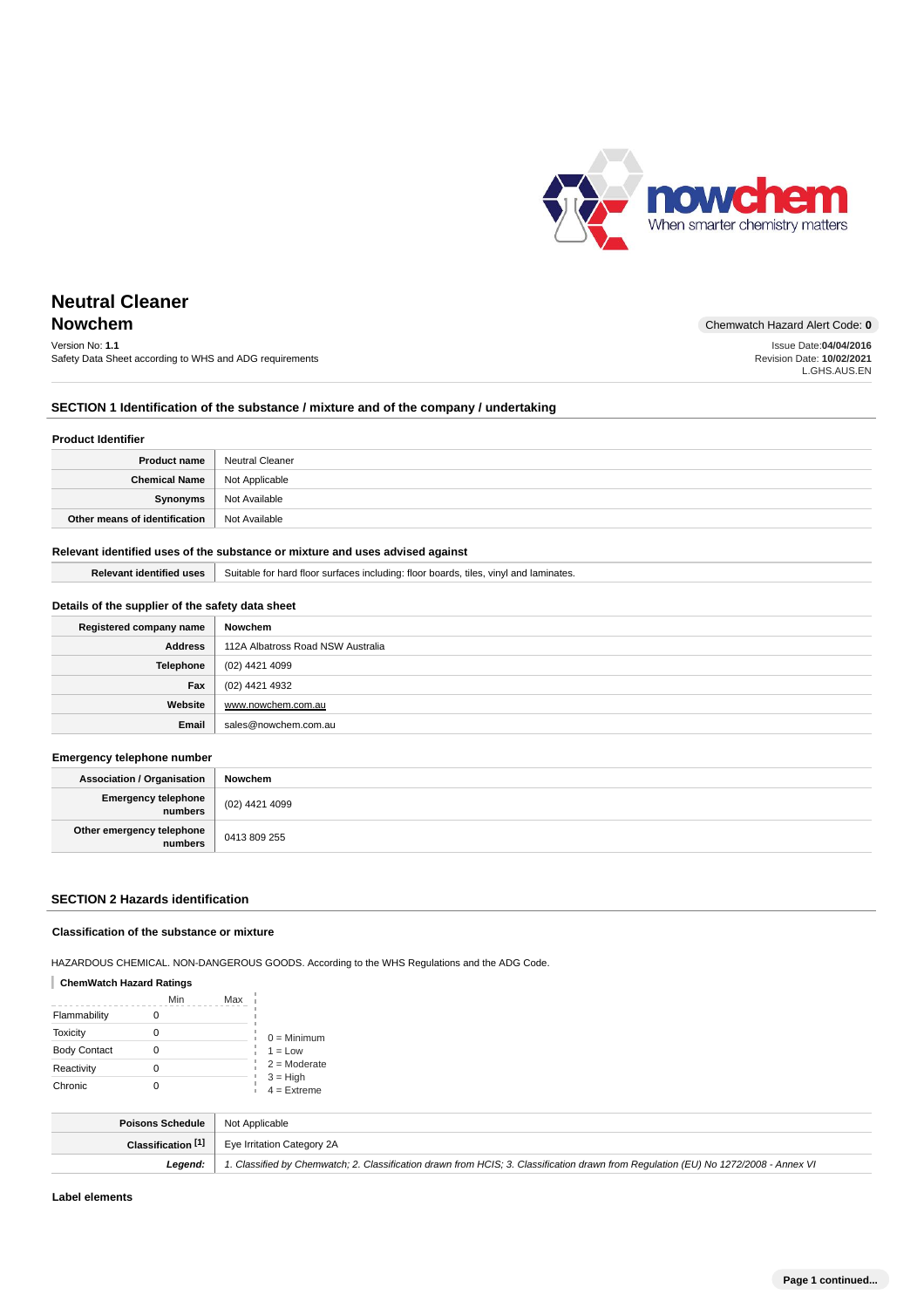

Issue Date:**04/04/2016** Revision Date: **10/02/2021** L.GHS.AUS.EN

# **Neutral Cleaner**

# **Nowchem** Chemwatch Hazard Alert Code: 0

Version No: **1.1** Safety Data Sheet according to WHS and ADG requirements

### **SECTION 1 Identification of the substance / mixture and of the company / undertaking**

#### **Product Identifier**

| <b>Product name</b>           | Neutral Cleaner |
|-------------------------------|-----------------|
| Chemical Name                 | Not Applicable  |
| Synonyms                      | Not Available   |
| Other means of identification | Not Available   |

### **Relevant identified uses of the substance or mixture and uses advised against**

**Relevant identified uses** Suitable for hard floor surfaces including: floor boards, tiles, vinyl and laminates.

### **Details of the supplier of the safety data sheet**

| Registered company name | Nowchem                           |
|-------------------------|-----------------------------------|
| <b>Address</b>          | 112A Albatross Road NSW Australia |
| Telephone               | (02) 4421 4099                    |
| Fax                     | (02) 4421 4932                    |
| Website                 | www.nowchem.com.au                |
| Email                   | sales@nowchem.com.au              |

#### **Emergency telephone number**

| <b>Association / Organisation</b>      | Nowchem        |
|----------------------------------------|----------------|
| Emergency telephone<br>  numbers       | (02) 4421 4099 |
| Other emergency telephone<br>  numbers | 0413 809 255   |

### **SECTION 2 Hazards identification**

#### **Classification of the substance or mixture**

HAZARDOUS CHEMICAL. NON-DANGEROUS GOODS. According to the WHS Regulations and the ADG Code.

### **ChemWatch Hazard Ratings**

|                     | Min | Max |                             |
|---------------------|-----|-----|-----------------------------|
| Flammability        |     |     |                             |
| <b>Toxicity</b>     |     |     | $0 =$ Minimum               |
| <b>Body Contact</b> |     |     | $1 = Low$                   |
| Reactivity          |     |     | $2 =$ Moderate              |
| Chronic             |     |     | $3 = High$<br>$4 =$ Extreme |

| <b>Poisons Schedule</b>   Not Applicable |                                                                                                                                     |
|------------------------------------------|-------------------------------------------------------------------------------------------------------------------------------------|
|                                          | <b>Classification <math>\begin{bmatrix} 1 \end{bmatrix}</math></b> Eye Irritation Category 2A                                       |
| Leaend:                                  | 1. Classified by Chemwatch; 2. Classification drawn from HCIS; 3. Classification drawn from Regulation (EU) No 1272/2008 - Annex VI |

**Label elements**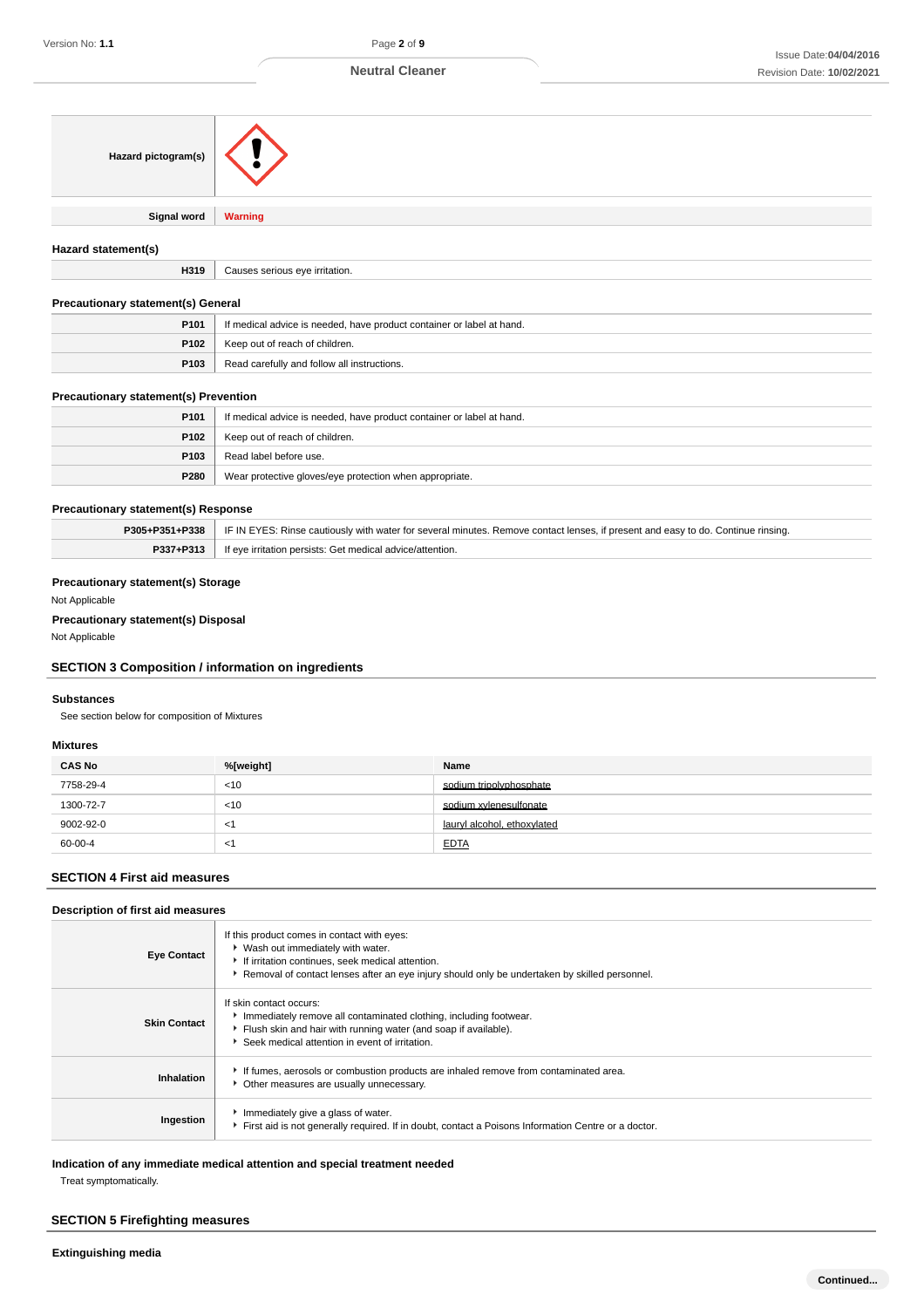| Hazard pictogram(s) |                |
|---------------------|----------------|
| <b>Signal word</b>  | <b>Warning</b> |
| Hazard statement(s) |                |

**H319** Causes serious eye irritation.

### **Precautionary statement(s) General**

| Proceeding in a concernation of the content of |                                                                       |  |
|------------------------------------------------|-----------------------------------------------------------------------|--|
| P <sub>101</sub>                               | If medical advice is needed, have product container or label at hand. |  |
|                                                | <b>P102</b>   Keep out of reach of children.                          |  |
| P <sub>103</sub>                               | Read carefully and follow all instructions.                           |  |

### **Precautionary statement(s) Prevention**

| P <sub>101</sub> | If medical advice is needed, have product container or label at hand. |  |
|------------------|-----------------------------------------------------------------------|--|
| P102             | Keep out of reach of children.                                        |  |
| P <sub>103</sub> | Read label before use.                                                |  |
| P280             | Wear protective gloves/eye protection when appropriate.               |  |

### **Precautionary statement(s) Response**

|           | <b>P305+P351+P338</b> FIF IN EYES: Rinse cautiously with water for several minutes. Remove contact lenses, if present and easy to do. Continue rinsing. |
|-----------|---------------------------------------------------------------------------------------------------------------------------------------------------------|
| P337+P313 | <sup>1</sup> If eye irritation persists: Get medical advice/attention.                                                                                  |

### **Precautionary statement(s) Storage**

Not Applicable

### **Precautionary statement(s) Disposal**

Not Applicable

### **SECTION 3 Composition / information on ingredients**

#### **Substances**

See section below for composition of Mixtures

### **Mixtures**

| <b>CAS No</b> | %[weight] | Name                        |
|---------------|-----------|-----------------------------|
| 7758-29-4     | < 10      | sodium tripolyphosphate     |
| 1300-72-7     | $<$ 10    | sodium xvlenesulfonate      |
| 9002-92-0     | <1        | lauryl alcohol, ethoxylated |
| 60-00-4       | <1        | <b>EDTA</b>                 |

### **SECTION 4 First aid measures**

### **Description of first aid measures**

| <b>Eye Contact</b>  | If this product comes in contact with eyes:<br>▶ Wash out immediately with water.<br>If irritation continues, seek medical attention.<br>▶ Removal of contact lenses after an eye injury should only be undertaken by skilled personnel. |
|---------------------|------------------------------------------------------------------------------------------------------------------------------------------------------------------------------------------------------------------------------------------|
| <b>Skin Contact</b> | If skin contact occurs:<br>Immediately remove all contaminated clothing, including footwear.<br>Flush skin and hair with running water (and soap if available).<br>Seek medical attention in event of irritation.                        |
| Inhalation          | If fumes, aerosols or combustion products are inhaled remove from contaminated area.<br>• Other measures are usually unnecessary.                                                                                                        |
| Ingestion           | Immediately give a glass of water.<br>First aid is not generally required. If in doubt, contact a Poisons Information Centre or a doctor.                                                                                                |

### **Indication of any immediate medical attention and special treatment needed**

Treat symptomatically.

### **SECTION 5 Firefighting measures**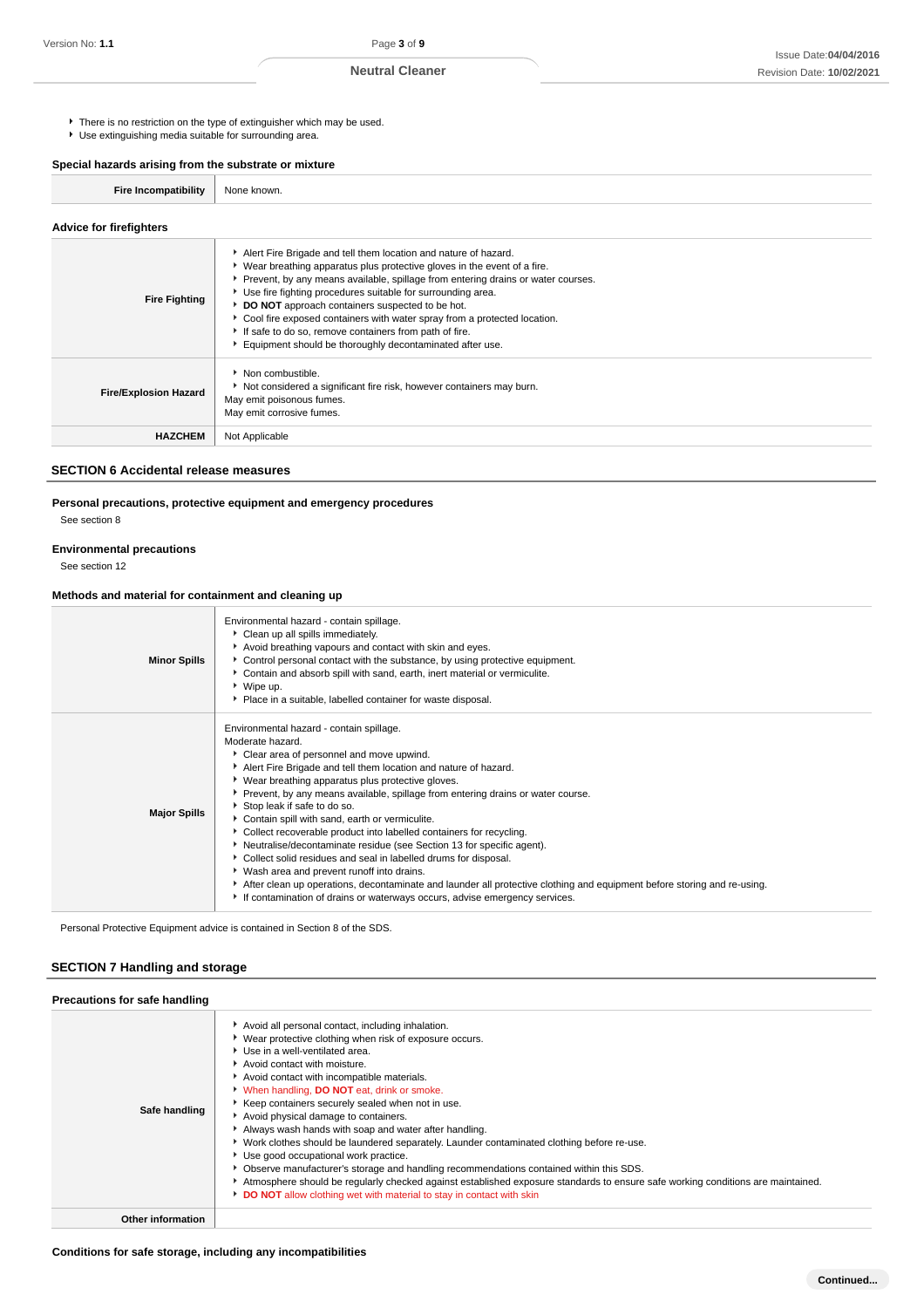There is no restriction on the type of extinguisher which may be used.

Use extinguishing media suitable for surrounding area.

**Special hazards arising from the substrate or mixture**

| <b>Fire Incompatibility</b> | None known. |
|-----------------------------|-------------|
|-----------------------------|-------------|

### **Advice for firefighters**

| <b>Fire Fighting</b>         | Alert Fire Brigade and tell them location and nature of hazard.<br>▶ Wear breathing apparatus plus protective gloves in the event of a fire.<br>▶ Prevent, by any means available, spillage from entering drains or water courses.<br>Use fire fighting procedures suitable for surrounding area.<br>DO NOT approach containers suspected to be hot.<br>Cool fire exposed containers with water spray from a protected location.<br>If safe to do so, remove containers from path of fire.<br>Equipment should be thoroughly decontaminated after use. |
|------------------------------|--------------------------------------------------------------------------------------------------------------------------------------------------------------------------------------------------------------------------------------------------------------------------------------------------------------------------------------------------------------------------------------------------------------------------------------------------------------------------------------------------------------------------------------------------------|
| <b>Fire/Explosion Hazard</b> | • Non combustible.<br>Not considered a significant fire risk, however containers may burn.<br>May emit poisonous fumes.<br>May emit corrosive fumes.                                                                                                                                                                                                                                                                                                                                                                                                   |
| <b>HAZCHEM</b>               | Not Applicable                                                                                                                                                                                                                                                                                                                                                                                                                                                                                                                                         |

### **SECTION 6 Accidental release measures**

### **Personal precautions, protective equipment and emergency procedures**

See section 8

#### **Environmental precautions**

See section 12

### **Methods and material for containment and cleaning up**

| <b>Minor Spills</b> | Environmental hazard - contain spillage.<br>Clean up all spills immediately.<br>Avoid breathing vapours and contact with skin and eyes.<br>▶ Control personal contact with the substance, by using protective equipment.<br>• Contain and absorb spill with sand, earth, inert material or vermiculite.<br>▶ Wipe up.<br>• Place in a suitable, labelled container for waste disposal.                                                                                                                                                                                                                                                                                                                                                                                                                                                                                                 |
|---------------------|----------------------------------------------------------------------------------------------------------------------------------------------------------------------------------------------------------------------------------------------------------------------------------------------------------------------------------------------------------------------------------------------------------------------------------------------------------------------------------------------------------------------------------------------------------------------------------------------------------------------------------------------------------------------------------------------------------------------------------------------------------------------------------------------------------------------------------------------------------------------------------------|
| <b>Major Spills</b> | Environmental hazard - contain spillage.<br>Moderate hazard.<br>• Clear area of personnel and move upwind.<br>Alert Fire Brigade and tell them location and nature of hazard.<br>▶ Wear breathing apparatus plus protective gloves.<br>▶ Prevent, by any means available, spillage from entering drains or water course.<br>Stop leak if safe to do so.<br>Contain spill with sand, earth or vermiculite.<br>Collect recoverable product into labelled containers for recycling.<br>Neutralise/decontaminate residue (see Section 13 for specific agent).<br>• Collect solid residues and seal in labelled drums for disposal.<br>▶ Wash area and prevent runoff into drains.<br>After clean up operations, decontaminate and launder all protective clothing and equipment before storing and re-using.<br>If contamination of drains or waterways occurs, advise emergency services. |

Personal Protective Equipment advice is contained in Section 8 of the SDS.

### **SECTION 7 Handling and storage**

| Precautions for safe handling |                                                                                                                                                                                                                                                                                                                                                                                                                                                                                                                                                                                                                                                                                                                                                                                                                                                                                         |
|-------------------------------|-----------------------------------------------------------------------------------------------------------------------------------------------------------------------------------------------------------------------------------------------------------------------------------------------------------------------------------------------------------------------------------------------------------------------------------------------------------------------------------------------------------------------------------------------------------------------------------------------------------------------------------------------------------------------------------------------------------------------------------------------------------------------------------------------------------------------------------------------------------------------------------------|
| Safe handling                 | Avoid all personal contact, including inhalation.<br>▶ Wear protective clothing when risk of exposure occurs.<br>▶ Use in a well-ventilated area.<br>Avoid contact with moisture.<br>Avoid contact with incompatible materials.<br>When handling, <b>DO NOT</b> eat, drink or smoke.<br>Keep containers securely sealed when not in use.<br>Avoid physical damage to containers.<br>Always wash hands with soap and water after handling.<br>► Work clothes should be laundered separately. Launder contaminated clothing before re-use.<br>▶ Use good occupational work practice.<br>Observe manufacturer's storage and handling recommendations contained within this SDS.<br>Atmosphere should be regularly checked against established exposure standards to ensure safe working conditions are maintained.<br>DO NOT allow clothing wet with material to stay in contact with skin |
| <b>Other information</b>      |                                                                                                                                                                                                                                                                                                                                                                                                                                                                                                                                                                                                                                                                                                                                                                                                                                                                                         |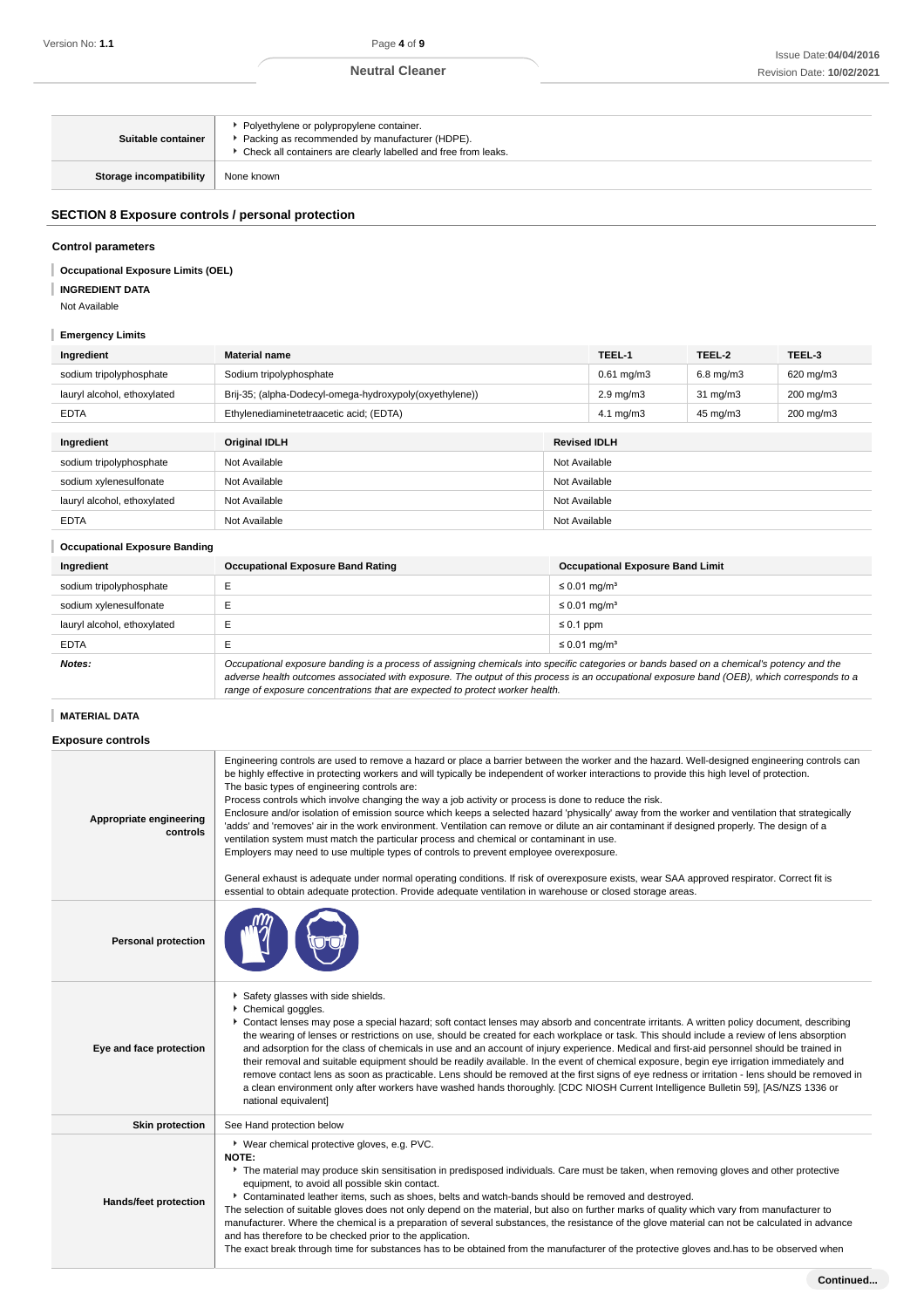| Suitable container             | • Polyethylene or polypropylene container.<br>Packing as recommended by manufacturer (HDPE).<br>▶ Check all containers are clearly labelled and free from leaks. |
|--------------------------------|------------------------------------------------------------------------------------------------------------------------------------------------------------------|
| <b>Storage incompatibility</b> | None known                                                                                                                                                       |

### **SECTION 8 Exposure controls / personal protection**

### **Control parameters**

#### **Occupational Exposure Limits (OEL)** I

**INGREDIENT DATA**

Not Available

### **Emergency Limits**

| Ingredient                           | <b>Material name</b>                                    |                     | TEEL-1                  | TEEL-2            | TEEL-3    |
|--------------------------------------|---------------------------------------------------------|---------------------|-------------------------|-------------------|-----------|
| sodium tripolyphosphate              | Sodium tripolyphosphate                                 |                     | $0.61 \,\mathrm{mg/m3}$ | $6.8$ mg/m $3$    | 620 mg/m3 |
| lauryl alcohol, ethoxylated          | Brij-35; (alpha-Dodecyl-omega-hydroxypoly(oxyethylene)) |                     | $2.9 \text{ mg/m}$      | $31 \text{ mg/m}$ | 200 mg/m3 |
| <b>EDTA</b>                          | Ethylenediaminetetraacetic acid; (EDTA)                 |                     | $4.1 \text{ mg/m}$ 3    | 45 mg/m3          | 200 mg/m3 |
|                                      |                                                         |                     |                         |                   |           |
| Ingredient                           | <b>Original IDLH</b>                                    | <b>Revised IDLH</b> |                         |                   |           |
| sodium tripolyphosphate              | Not Available<br>Not Available                          |                     |                         |                   |           |
| sodium xylenesulfonate               | Not Available<br>Not Available                          |                     |                         |                   |           |
| lauryl alcohol, ethoxylated          | Not Available                                           | Not Available       |                         |                   |           |
| <b>EDTA</b>                          | Not Available                                           | Not Available       |                         |                   |           |
| <b>Occupational Exposure Banding</b> |                                                         |                     |                         |                   |           |

| Ingredient                  | <b>Occupational Exposure Band Rating</b>                                                                                                                                                                                                                                                                                                                                 | <b>Occupational Exposure Band Limit</b> |  |
|-----------------------------|--------------------------------------------------------------------------------------------------------------------------------------------------------------------------------------------------------------------------------------------------------------------------------------------------------------------------------------------------------------------------|-----------------------------------------|--|
| sodium tripolyphosphate     |                                                                                                                                                                                                                                                                                                                                                                          | $\leq$ 0.01 mg/m <sup>3</sup>           |  |
| sodium xylenesulfonate      |                                                                                                                                                                                                                                                                                                                                                                          | $\leq$ 0.01 mg/m <sup>3</sup>           |  |
| lauryl alcohol, ethoxylated |                                                                                                                                                                                                                                                                                                                                                                          | $\leq 0.1$ ppm                          |  |
| <b>EDTA</b>                 |                                                                                                                                                                                                                                                                                                                                                                          | $\leq$ 0.01 mg/m <sup>3</sup>           |  |
| Notes:                      | Occupational exposure banding is a process of assigning chemicals into specific categories or bands based on a chemical's potency and the<br>adverse health outcomes associated with exposure. The output of this process is an occupational exposure band (OEB), which corresponds to a<br>range of exposure concentrations that are expected to protect worker health. |                                         |  |

### **MATERIAL DATA**

### **Exposure controls**

| Appropriate engineering<br>controls | Engineering controls are used to remove a hazard or place a barrier between the worker and the hazard. Well-designed engineering controls can<br>be highly effective in protecting workers and will typically be independent of worker interactions to provide this high level of protection.<br>The basic types of engineering controls are:<br>Process controls which involve changing the way a job activity or process is done to reduce the risk.<br>Enclosure and/or isolation of emission source which keeps a selected hazard 'physically' away from the worker and ventilation that strategically<br>'adds' and 'removes' air in the work environment. Ventilation can remove or dilute an air contaminant if designed properly. The design of a<br>ventilation system must match the particular process and chemical or contaminant in use.<br>Employers may need to use multiple types of controls to prevent employee overexposure.<br>General exhaust is adequate under normal operating conditions. If risk of overexposure exists, wear SAA approved respirator. Correct fit is<br>essential to obtain adequate protection. Provide adequate ventilation in warehouse or closed storage areas. |
|-------------------------------------|---------------------------------------------------------------------------------------------------------------------------------------------------------------------------------------------------------------------------------------------------------------------------------------------------------------------------------------------------------------------------------------------------------------------------------------------------------------------------------------------------------------------------------------------------------------------------------------------------------------------------------------------------------------------------------------------------------------------------------------------------------------------------------------------------------------------------------------------------------------------------------------------------------------------------------------------------------------------------------------------------------------------------------------------------------------------------------------------------------------------------------------------------------------------------------------------------------------|
| <b>Personal protection</b>          |                                                                                                                                                                                                                                                                                                                                                                                                                                                                                                                                                                                                                                                                                                                                                                                                                                                                                                                                                                                                                                                                                                                                                                                                               |
| Eye and face protection             | Safety glasses with side shields.<br>Chemical goggles.<br>Contact lenses may pose a special hazard; soft contact lenses may absorb and concentrate irritants. A written policy document, describing<br>the wearing of lenses or restrictions on use, should be created for each workplace or task. This should include a review of lens absorption<br>and adsorption for the class of chemicals in use and an account of injury experience. Medical and first-aid personnel should be trained in<br>their removal and suitable equipment should be readily available. In the event of chemical exposure, begin eye irrigation immediately and<br>remove contact lens as soon as practicable. Lens should be removed at the first signs of eye redness or irritation - lens should be removed in<br>a clean environment only after workers have washed hands thoroughly. [CDC NIOSH Current Intelligence Bulletin 59], [AS/NZS 1336 or<br>national equivalent]                                                                                                                                                                                                                                                 |
| <b>Skin protection</b>              | See Hand protection below                                                                                                                                                                                                                                                                                                                                                                                                                                                                                                                                                                                                                                                                                                                                                                                                                                                                                                                                                                                                                                                                                                                                                                                     |
| Hands/feet protection               | ▶ Wear chemical protective gloves, e.g. PVC.<br>NOTE:<br>The material may produce skin sensitisation in predisposed individuals. Care must be taken, when removing gloves and other protective<br>equipment, to avoid all possible skin contact.<br>Contaminated leather items, such as shoes, belts and watch-bands should be removed and destroyed.<br>The selection of suitable gloves does not only depend on the material, but also on further marks of quality which vary from manufacturer to<br>manufacturer. Where the chemical is a preparation of several substances, the resistance of the glove material can not be calculated in advance<br>and has therefore to be checked prior to the application.<br>The exact break through time for substances has to be obtained from the manufacturer of the protective gloves and has to be observed when                                                                                                                                                                                                                                                                                                                                              |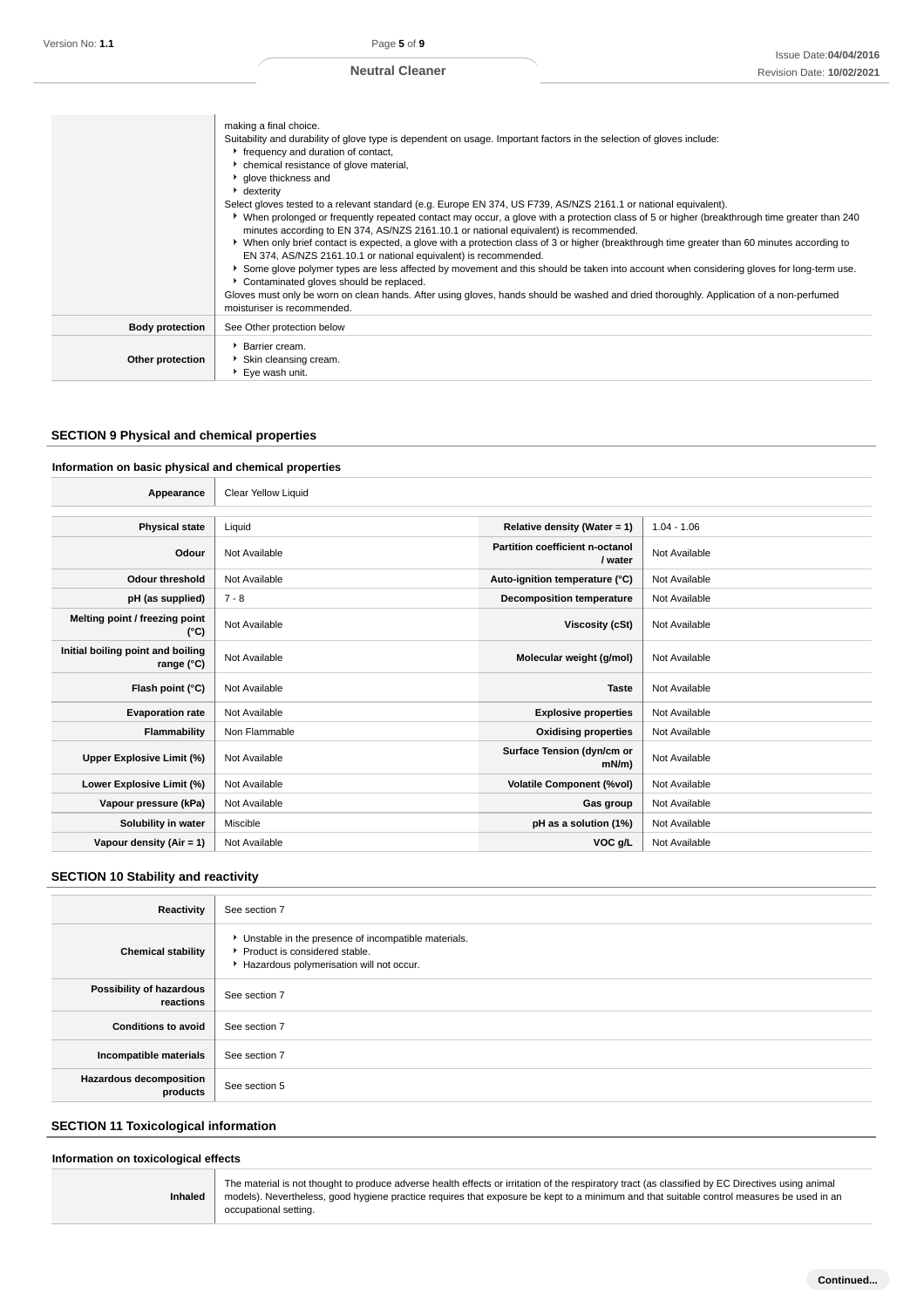|                        | making a final choice.<br>Suitability and durability of glove type is dependent on usage. Important factors in the selection of gloves include:<br>r frequency and duration of contact,<br>chemical resistance of glove material,<br><sup>t</sup> glove thickness and                                                                                                                                                                                                                                                                                                                                                                                                                                                                                                                                                                                                                                                                                          |
|------------------------|----------------------------------------------------------------------------------------------------------------------------------------------------------------------------------------------------------------------------------------------------------------------------------------------------------------------------------------------------------------------------------------------------------------------------------------------------------------------------------------------------------------------------------------------------------------------------------------------------------------------------------------------------------------------------------------------------------------------------------------------------------------------------------------------------------------------------------------------------------------------------------------------------------------------------------------------------------------|
|                        | • dexterity<br>Select gloves tested to a relevant standard (e.g. Europe EN 374, US F739, AS/NZS 2161.1 or national equivalent).<br>▶ When prolonged or frequently repeated contact may occur, a glove with a protection class of 5 or higher (breakthrough time greater than 240<br>minutes according to EN 374, AS/NZS 2161.10.1 or national equivalent) is recommended.<br>► When only brief contact is expected, a glove with a protection class of 3 or higher (breakthrough time greater than 60 minutes according to<br>EN 374, AS/NZS 2161.10.1 or national equivalent) is recommended.<br>Some glove polymer types are less affected by movement and this should be taken into account when considering gloves for long-term use.<br>Contaminated gloves should be replaced.<br>Gloves must only be worn on clean hands. After using gloves, hands should be washed and dried thoroughly. Application of a non-perfumed<br>moisturiser is recommended. |
| <b>Body protection</b> | See Other protection below                                                                                                                                                                                                                                                                                                                                                                                                                                                                                                                                                                                                                                                                                                                                                                                                                                                                                                                                     |
| Other protection       | <b>Barrier cream.</b><br>Skin cleansing cream.<br>▶ Eye wash unit.                                                                                                                                                                                                                                                                                                                                                                                                                                                                                                                                                                                                                                                                                                                                                                                                                                                                                             |

## **SECTION 9 Physical and chemical properties**

### **Information on basic physical and chemical properties**

| Appearance                                      | Clear Yellow Liquid |                                            |               |
|-------------------------------------------------|---------------------|--------------------------------------------|---------------|
|                                                 |                     |                                            |               |
| <b>Physical state</b>                           | Liquid              | Relative density (Water = $1$ )            | $1.04 - 1.06$ |
| Odour                                           | Not Available       | Partition coefficient n-octanol<br>/ water | Not Available |
| <b>Odour threshold</b>                          | Not Available       | Auto-ignition temperature (°C)             | Not Available |
| pH (as supplied)                                | $7 - 8$             | <b>Decomposition temperature</b>           | Not Available |
| Melting point / freezing point<br>(°C)          | Not Available       | Viscosity (cSt)                            | Not Available |
| Initial boiling point and boiling<br>range (°C) | Not Available       | Molecular weight (g/mol)                   | Not Available |
| Flash point (°C)                                | Not Available       | <b>Taste</b>                               | Not Available |
| <b>Evaporation rate</b>                         | Not Available       | <b>Explosive properties</b>                | Not Available |
| Flammability                                    | Non Flammable       | <b>Oxidising properties</b>                | Not Available |
| Upper Explosive Limit (%)                       | Not Available       | Surface Tension (dyn/cm or<br>$mN/m$ )     | Not Available |
| Lower Explosive Limit (%)                       | Not Available       | <b>Volatile Component (%vol)</b>           | Not Available |
| Vapour pressure (kPa)                           | Not Available       | Gas group                                  | Not Available |
| Solubility in water                             | Miscible            | pH as a solution (1%)                      | Not Available |
| Vapour density $(Air = 1)$                      | Not Available       | VOC g/L                                    | Not Available |

### **SECTION 10 Stability and reactivity**

| <b>Reactivity</b>                     | See section 7                                                                                                                      |
|---------------------------------------|------------------------------------------------------------------------------------------------------------------------------------|
| <b>Chemical stability</b>             | • Unstable in the presence of incompatible materials.<br>Product is considered stable.<br>Hazardous polymerisation will not occur. |
| Possibility of hazardous<br>reactions | See section 7                                                                                                                      |
| <b>Conditions to avoid</b>            | See section 7                                                                                                                      |
| Incompatible materials                | See section 7                                                                                                                      |
| Hazardous decomposition<br>products   | See section 5                                                                                                                      |

### **SECTION 11 Toxicological information**

### **Information on toxicological effects**

| <b>Inhaled</b> | The material is not thought to produce adverse health effects or irritation of the respiratory tract (as classified by EC Directives using animal<br>models). Nevertheless, good hygiene practice requires that exposure be kept to a minimum and that suitable control measures be used in an<br>occupational setting. |
|----------------|-------------------------------------------------------------------------------------------------------------------------------------------------------------------------------------------------------------------------------------------------------------------------------------------------------------------------|
|----------------|-------------------------------------------------------------------------------------------------------------------------------------------------------------------------------------------------------------------------------------------------------------------------------------------------------------------------|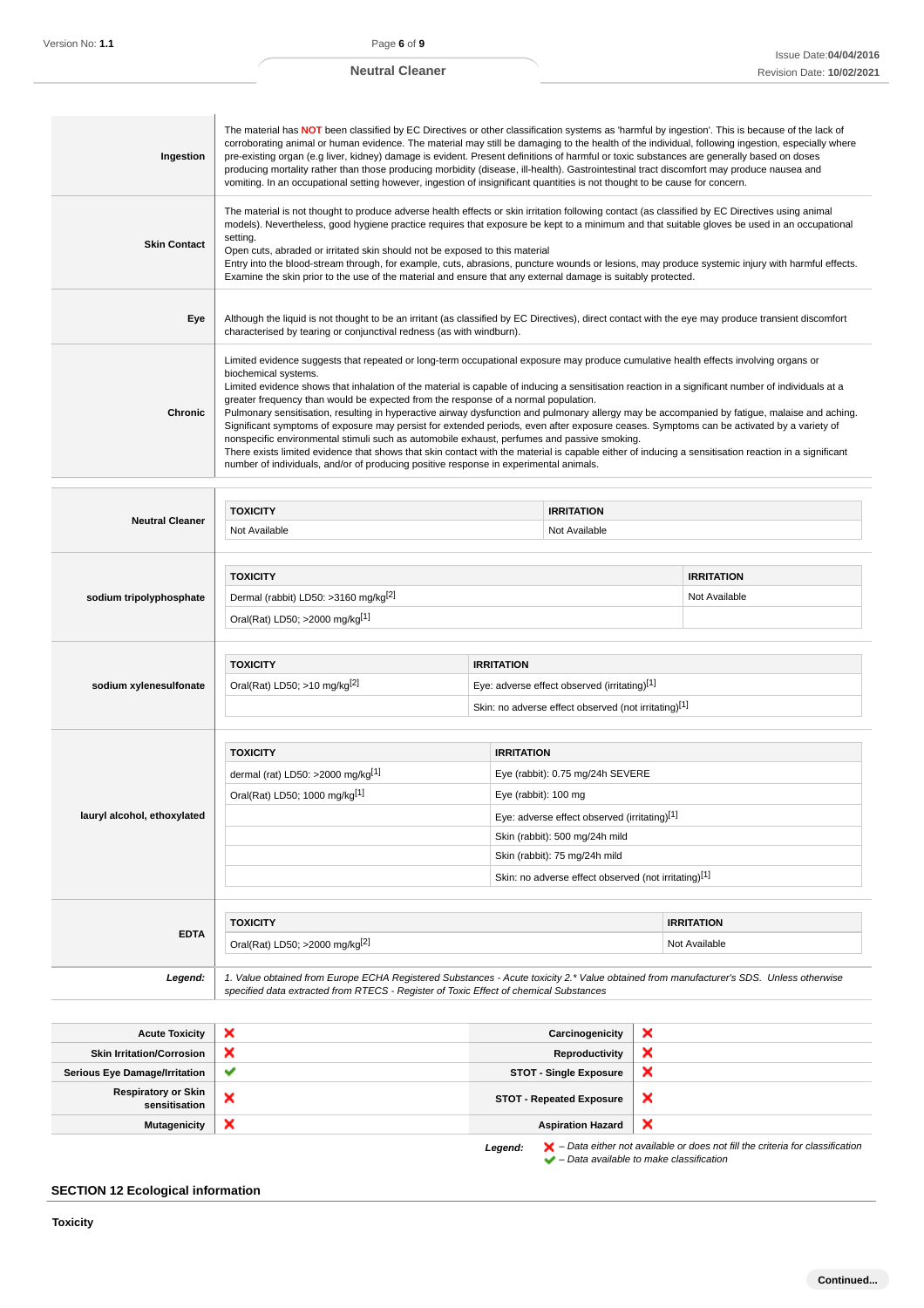the control of the control of the control of

٦

| Ingestion           | The material has NOT been classified by EC Directives or other classification systems as 'harmful by ingestion'. This is because of the lack of<br>corroborating animal or human evidence. The material may still be damaging to the health of the individual, following ingestion, especially where<br>pre-existing organ (e.g liver, kidney) damage is evident. Present definitions of harmful or toxic substances are generally based on doses<br>producing mortality rather than those producing morbidity (disease, ill-health). Gastrointestinal tract discomfort may produce nausea and<br>vomiting. In an occupational setting however, ingestion of insignificant quantities is not thought to be cause for concern.                                                                                                                                                                                                                                                                                                                         |
|---------------------|-------------------------------------------------------------------------------------------------------------------------------------------------------------------------------------------------------------------------------------------------------------------------------------------------------------------------------------------------------------------------------------------------------------------------------------------------------------------------------------------------------------------------------------------------------------------------------------------------------------------------------------------------------------------------------------------------------------------------------------------------------------------------------------------------------------------------------------------------------------------------------------------------------------------------------------------------------------------------------------------------------------------------------------------------------|
| <b>Skin Contact</b> | The material is not thought to produce adverse health effects or skin irritation following contact (as classified by EC Directives using animal<br>models). Nevertheless, good hygiene practice requires that exposure be kept to a minimum and that suitable gloves be used in an occupational<br>setting.<br>Open cuts, abraded or irritated skin should not be exposed to this material<br>Entry into the blood-stream through, for example, cuts, abrasions, puncture wounds or lesions, may produce systemic injury with harmful effects.<br>Examine the skin prior to the use of the material and ensure that any external damage is suitably protected.                                                                                                                                                                                                                                                                                                                                                                                        |
| Eye                 | Although the liquid is not thought to be an irritant (as classified by EC Directives), direct contact with the eye may produce transient discomfort<br>characterised by tearing or conjunctival redness (as with windburn).                                                                                                                                                                                                                                                                                                                                                                                                                                                                                                                                                                                                                                                                                                                                                                                                                           |
| <b>Chronic</b>      | Limited evidence suggests that repeated or long-term occupational exposure may produce cumulative health effects involving organs or<br>biochemical systems.<br>Limited evidence shows that inhalation of the material is capable of inducing a sensitisation reaction in a significant number of individuals at a<br>greater frequency than would be expected from the response of a normal population.<br>Pulmonary sensitisation, resulting in hyperactive airway dysfunction and pulmonary allergy may be accompanied by fatigue, malaise and aching.<br>Significant symptoms of exposure may persist for extended periods, even after exposure ceases. Symptoms can be activated by a variety of<br>nonspecific environmental stimuli such as automobile exhaust, perfumes and passive smoking.<br>There exists limited evidence that shows that skin contact with the material is capable either of inducing a sensitisation reaction in a significant<br>number of individuals, and/or of producing positive response in experimental animals. |

| <b>Neutral Cleaner</b>      | <b>TOXICITY</b>                                                                                                                                                                                                                 |                                                      | <b>IRRITATION</b>                                    |                   |  |
|-----------------------------|---------------------------------------------------------------------------------------------------------------------------------------------------------------------------------------------------------------------------------|------------------------------------------------------|------------------------------------------------------|-------------------|--|
|                             | Not Available<br>Not Available                                                                                                                                                                                                  |                                                      |                                                      |                   |  |
|                             |                                                                                                                                                                                                                                 |                                                      |                                                      |                   |  |
|                             | <b>TOXICITY</b>                                                                                                                                                                                                                 |                                                      |                                                      | <b>IRRITATION</b> |  |
| sodium tripolyphosphate     | Dermal (rabbit) LD50: >3160 mg/kg <sup>[2]</sup>                                                                                                                                                                                |                                                      |                                                      | Not Available     |  |
|                             | Oral(Rat) LD50; >2000 mg/kg[1]                                                                                                                                                                                                  |                                                      |                                                      |                   |  |
|                             |                                                                                                                                                                                                                                 |                                                      |                                                      |                   |  |
|                             | <b>TOXICITY</b>                                                                                                                                                                                                                 |                                                      | <b>IRRITATION</b>                                    |                   |  |
| sodium xylenesulfonate      | Oral(Rat) LD50; >10 mg/kg <sup>[2]</sup>                                                                                                                                                                                        |                                                      | Eye: adverse effect observed (irritating)[1]         |                   |  |
|                             |                                                                                                                                                                                                                                 | Skin: no adverse effect observed (not irritating)[1] |                                                      |                   |  |
|                             |                                                                                                                                                                                                                                 |                                                      |                                                      |                   |  |
|                             | <b>TOXICITY</b>                                                                                                                                                                                                                 | <b>IRRITATION</b>                                    |                                                      |                   |  |
|                             | dermal (rat) LD50: >2000 mg/kg[1]<br>Eye (rabbit): 0.75 mg/24h SEVERE                                                                                                                                                           |                                                      |                                                      |                   |  |
|                             | Oral(Rat) LD50; 1000 mg/kg[1]<br>Eye (rabbit): 100 mg                                                                                                                                                                           |                                                      |                                                      |                   |  |
| lauryl alcohol, ethoxylated |                                                                                                                                                                                                                                 | Eye: adverse effect observed (irritating)[1]         |                                                      |                   |  |
|                             |                                                                                                                                                                                                                                 | Skin (rabbit): 500 mg/24h mild                       |                                                      |                   |  |
|                             |                                                                                                                                                                                                                                 |                                                      | Skin (rabbit): 75 mg/24h mild                        |                   |  |
|                             |                                                                                                                                                                                                                                 |                                                      | Skin: no adverse effect observed (not irritating)[1] |                   |  |
|                             |                                                                                                                                                                                                                                 |                                                      |                                                      |                   |  |
| <b>EDTA</b>                 | <b>TOXICITY</b>                                                                                                                                                                                                                 |                                                      |                                                      | <b>IRRITATION</b> |  |
|                             | Oral(Rat) LD50; >2000 mg/kg <sup>[2]</sup>                                                                                                                                                                                      |                                                      |                                                      | Not Available     |  |
| Legend:                     | 1. Value obtained from Europe ECHA Registered Substances - Acute toxicity 2.* Value obtained from manufacturer's SDS. Unless otherwise<br>specified data extracted from RTECS - Register of Toxic Effect of chemical Substances |                                                      |                                                      |                   |  |

| <b>Acute Toxicity</b>                       | ×            | Carcinogenicity                 | ×                                                                                                  |
|---------------------------------------------|--------------|---------------------------------|----------------------------------------------------------------------------------------------------|
| <b>Skin Irritation/Corrosion</b>            | ×            | Reproductivity                  | ×                                                                                                  |
| <b>Serious Eye Damage/Irritation</b>        | $\checkmark$ | <b>STOT - Single Exposure</b>   | ×                                                                                                  |
| <b>Respiratory or Skin</b><br>sensitisation | ж            | <b>STOT - Repeated Exposure</b> | ×                                                                                                  |
| <b>Mutagenicity</b>                         | ×            | <b>Aspiration Hazard</b>        | ×                                                                                                  |
|                                             |              | Legend:                         | $\blacktriangleright$ - Data either not available or does not fill the criteria for classification |

 $\blacktriangleright$  – Data available to make classification

### **SECTION 12 Ecological information**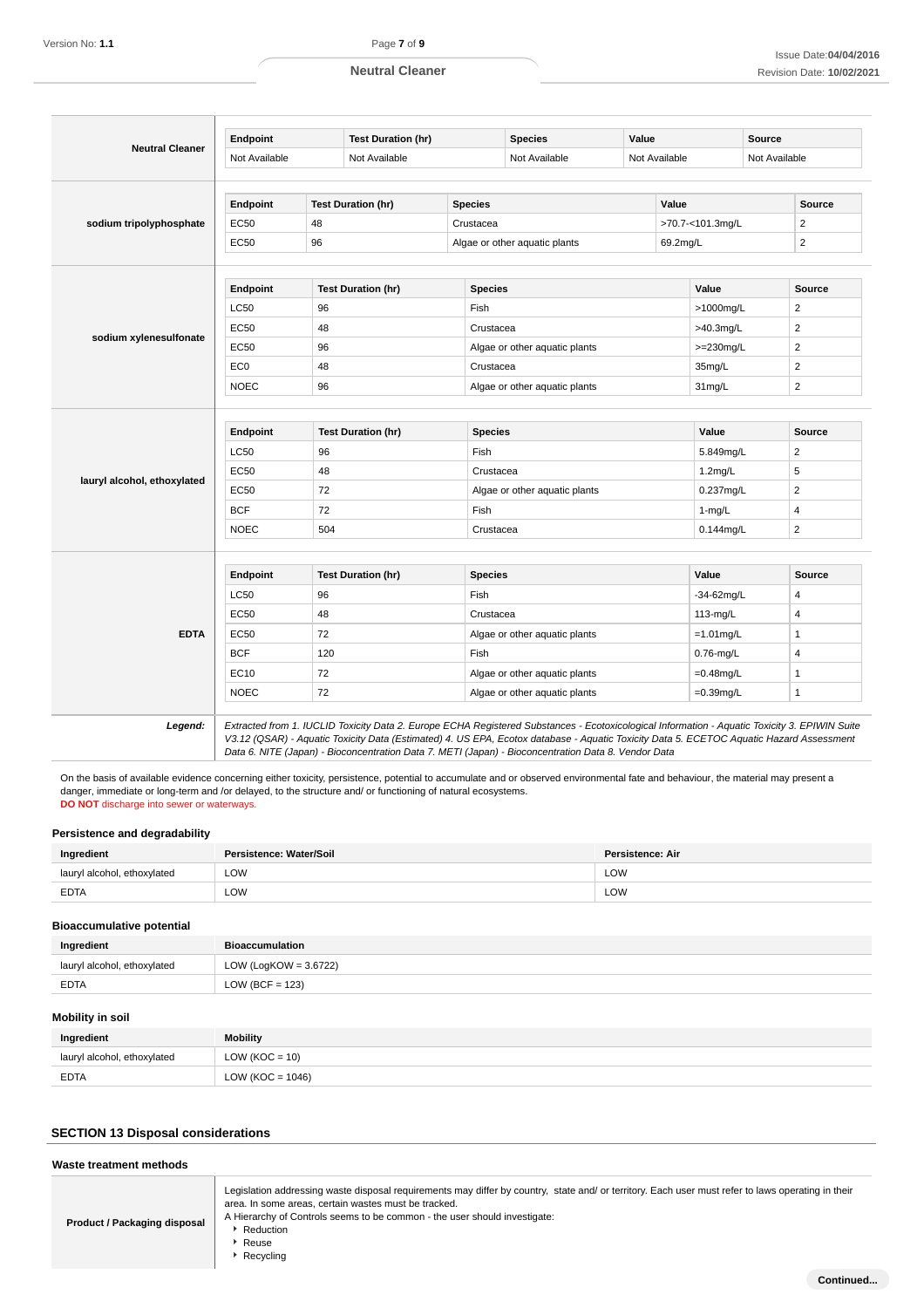|                             | Endpoint        |               | <b>Test Duration (hr)</b> |                | <b>Species</b>                | Value         |                  | Source |                         |  |
|-----------------------------|-----------------|---------------|---------------------------|----------------|-------------------------------|---------------|------------------|--------|-------------------------|--|
| <b>Neutral Cleaner</b>      | Not Available   | Not Available |                           |                | Not Available                 | Not Available |                  |        | Not Available           |  |
|                             |                 |               |                           |                |                               |               |                  |        |                         |  |
|                             | Endpoint        |               | <b>Test Duration (hr)</b> | <b>Species</b> |                               |               | Value            |        | <b>Source</b>           |  |
| sodium tripolyphosphate     | EC50            | 48            |                           | Crustacea      |                               |               | >70.7-<101.3mg/L |        | $\overline{2}$          |  |
|                             | EC50            | 96            |                           |                | Algae or other aquatic plants |               | 69.2mg/L         |        |                         |  |
|                             |                 |               |                           |                |                               |               |                  |        |                         |  |
|                             | Endpoint        |               | <b>Test Duration (hr)</b> | <b>Species</b> |                               |               | Value            |        | Source                  |  |
|                             | <b>LC50</b>     | 96            |                           | Fish           |                               |               | >1000mg/L        |        | 2                       |  |
|                             | EC50            | 48            |                           | Crustacea      |                               |               | >40.3mg/L        |        | $\overline{2}$          |  |
| sodium xylenesulfonate      | EC50            | 96            |                           |                | Algae or other aquatic plants |               | $>=230$ mg/L     |        | $\overline{2}$          |  |
|                             | EC <sub>0</sub> | 48            |                           | Crustacea      |                               |               | 35mg/L           |        | $\overline{2}$          |  |
|                             | <b>NOEC</b>     | 96            |                           |                | Algae or other aquatic plants |               | 31mg/L           |        | $\overline{2}$          |  |
|                             |                 |               |                           |                |                               |               |                  |        |                         |  |
|                             |                 |               |                           |                |                               |               |                  |        |                         |  |
|                             | Endpoint        |               | <b>Test Duration (hr)</b> |                | <b>Species</b>                |               | Value            |        | Source                  |  |
|                             | <b>LC50</b>     | 96            |                           | Fish           | Crustacea                     |               | 5.849mg/L        |        | $\overline{\mathbf{c}}$ |  |
| lauryl alcohol, ethoxylated | EC50            | 48            |                           |                | Algae or other aquatic plants |               | $1.2$ mg/L       |        | 5                       |  |
|                             | EC50            | 72            |                           |                | Fish                          |               | 0.237mg/L        |        | $\overline{c}$          |  |
|                             | <b>BCF</b>      | 72            |                           |                | Crustacea                     |               | $1-mg/L$         |        | $\overline{4}$          |  |
|                             | <b>NOEC</b>     | 504           |                           |                |                               |               | $0.144$ mg/L     |        | $\overline{2}$          |  |
|                             |                 |               |                           |                |                               |               |                  |        |                         |  |
|                             | <b>Endpoint</b> |               | <b>Test Duration (hr)</b> | <b>Species</b> |                               |               | Value            |        | Source                  |  |
|                             | <b>LC50</b>     | 96            |                           | Fish           |                               |               | -34-62mg/L       |        | 4                       |  |
|                             | <b>EC50</b>     | 48            |                           |                | Crustacea                     |               | 113-mg/L         |        | 4                       |  |
| <b>EDTA</b>                 | EC50            | 72            |                           |                | Algae or other aquatic plants |               | $=1.01$ mg/L     |        | 1                       |  |
|                             | <b>BCF</b>      | 120           |                           | Fish           |                               |               | $0.76$ -mg/L     |        | 4                       |  |
|                             | EC10            | 72            |                           |                | Algae or other aquatic plants |               | $=0.48$ mg/L     |        | $\mathbf{1}$            |  |
|                             | <b>NOEC</b>     | 72            |                           |                | Algae or other aquatic plants |               | $=0.39$ mg/L     |        | 1                       |  |
|                             |                 |               |                           |                |                               |               |                  |        |                         |  |

On the basis of available evidence concerning either toxicity, persistence, potential to accumulate and or observed environmental fate and behaviour, the material may present a danger, immediate or long-term and /or delayed, to the structure and/ or functioning of natural ecosystems. **DO NOT** discharge into sewer or waterways.

### **Persistence and degradability**

| Ingredient                  | Persistence: Water/Soil | <b>Persistence: Air</b> |
|-----------------------------|-------------------------|-------------------------|
| lauryl alcohol, ethoxylated | LOW                     | LOW                     |
| <b>EDTA</b>                 | LOW<br>$\sim$ $\sim$    | LOW                     |

### **Ingredient Bioaccumulation Bioaccumulative potential** lauryl alcohol, ethoxylated LOW (LogKOW = 3.6722) EDTA LOW (BCF = 123)

### **Mobility in soil**

| Ingredient                  | <b>Mobility</b>      |
|-----------------------------|----------------------|
| lauryl alcohol, ethoxylated | $LOW (KOC = 10)$     |
| <b>EDTA</b>                 | LOW ( $KOC = 1046$ ) |

### **SECTION 13 Disposal considerations**

| Waste treatment methods      |                                                                                                                                                                                                                                                                                                                            |
|------------------------------|----------------------------------------------------------------------------------------------------------------------------------------------------------------------------------------------------------------------------------------------------------------------------------------------------------------------------|
| Product / Packaging disposal | Legislation addressing waste disposal requirements may differ by country, state and/ or territory. Each user must refer to laws operating in their<br>area. In some areas, certain wastes must be tracked.<br>A Hierarchy of Controls seems to be common - the user should investigate:<br>Reduction<br>Reuse<br>Recvclina |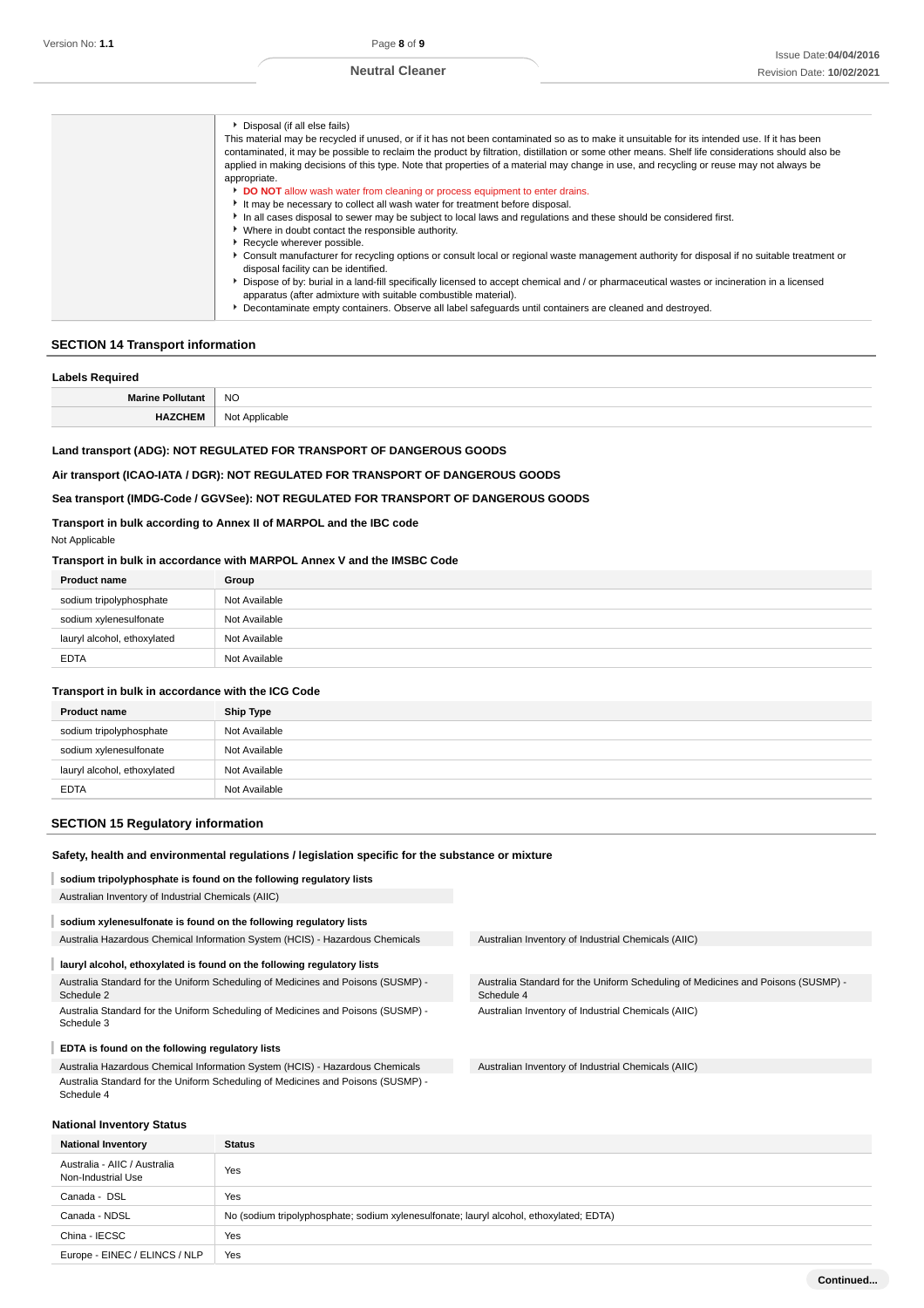#### **SECTION 14 Transport information**

#### **Labels Required**

| <b>NO</b> |
|-----------|
| .<br>___  |

### **Land transport (ADG): NOT REGULATED FOR TRANSPORT OF DANGEROUS GOODS**

#### **Air transport (ICAO-IATA / DGR): NOT REGULATED FOR TRANSPORT OF DANGEROUS GOODS**

### **Sea transport (IMDG-Code / GGVSee): NOT REGULATED FOR TRANSPORT OF DANGEROUS GOODS**

### **Transport in bulk according to Annex II of MARPOL and the IBC code**

### Not Applicable

### **Transport in bulk in accordance with MARPOL Annex V and the IMSBC Code**

| <b>Product name</b>         | Group         |
|-----------------------------|---------------|
| sodium tripolyphosphate     | Not Available |
| sodium xylenesulfonate      | Not Available |
| lauryl alcohol, ethoxylated | Not Available |
| <b>EDTA</b>                 | Not Available |

#### **Transport in bulk in accordance with the ICG Code**

| <b>Product name</b>         | <b>Ship Type</b> |
|-----------------------------|------------------|
| sodium tripolyphosphate     | Not Available    |
| sodium xylenesulfonate      | Not Available    |
| lauryl alcohol, ethoxylated | Not Available    |
| <b>EDTA</b>                 | Not Available    |

### **SECTION 15 Regulatory information**

#### **Safety, health and environmental regulations / legislation specific for the substance or mixture**

### **sodium tripolyphosphate is found on the following regulatory lists**

Australian Inventory of Industrial Chemicals (AIIC)

# **sodium xylenesulfonate is found on the following regulatory lists**

### Australia Hazardous Chemical Information System (HCIS) - Hazardous Chemicals Australian Inventory of Industrial Chemicals (AIIC)

### **lauryl alcohol, ethoxylated is found on the following regulatory lists**

Australia Standard for the Uniform Scheduling of Medicines and Poisons (SUSMP) - Schedule 2

Australia Standard for the Uniform Scheduling of Medicines and Poisons (SUSMP) - Schedule 3

#### I **EDTA is found on the following regulatory lists**

Australia Hazardous Chemical Information System (HCIS) - Hazardous Chemicals Australia Standard for the Uniform Scheduling of Medicines and Poisons (SUSMP) - Schedule 4

### **National Inventory Status**

Australia Standard for the Uniform Scheduling of Medicines and Poisons (SUSMP) - Schedule 4 Australian Inventory of Industrial Chemicals (AIIC)

Australian Inventory of Industrial Chemicals (AIIC)

| <b>Status</b>                                                                           |
|-----------------------------------------------------------------------------------------|
| Yes                                                                                     |
| Yes                                                                                     |
| No (sodium tripolyphosphate; sodium xylenesulfonate; lauryl alcohol, ethoxylated; EDTA) |
| Yes                                                                                     |
| Yes                                                                                     |
|                                                                                         |